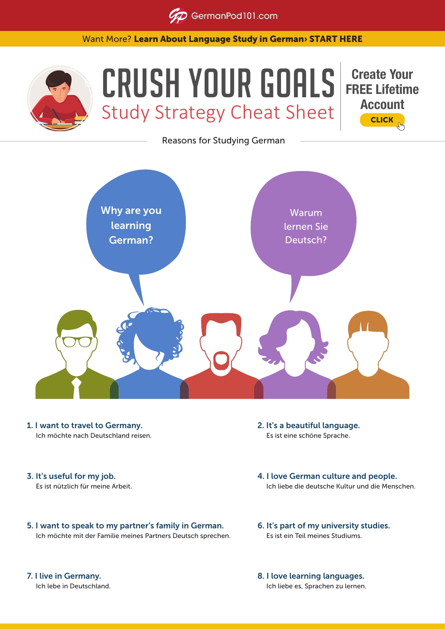**GD** GermanPod101.com

Want More? [Learn About Language Study in German› START HERE](https://www.GermanPod101.com/?src=lp_crush_goals_cheat_sheet_(not set)_(crush_goals_lp)&utm_medium=(not set)&utm_content=(not set)_(crush_goals_lp)&utm_campaign=crush_goals_cheat_sheet&utm_term=(not-set)&utm_source=lp&utm_source=lp)



## CRUSH YOUR GOALS Study Strategy Cheat Sheet



Reasons for Studying German



- 1. I want to travel to Germany. Ich möchte nach Deutschland reisen.
- 3. It's useful for my job. Es ist nützlich für meine Arbeit.
- 5. I want to speak to my partner's family in German. Ich möchte mit der Familie meines Partners Deutsch sprechen.
- 2. It's a beautiful language. Es ist eine schöne Sprache.
- 4. I love German culture and people. Ich liebe die deutsche Kultur und die Menschen.
- 6. It's part of my university studies. Es ist ein Teil meines Studiums.
- 8. I love learning languages. Ich liebe es, Sprachen zu lernen.

7. I live in Germany. Ich lebe in Deutschland.